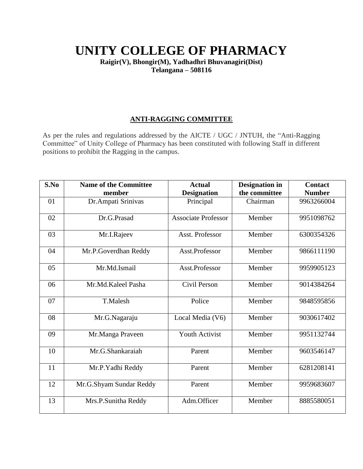# **UNITY COLLEGE OF PHARMACY**

**Raigir(V), Bhongir(M), Yadhadhri Bhuvanagiri(Dist) Telangana – 508116**

## **ANTI-RAGGING COMMITTEE**

As per the rules and regulations addressed by the AICTE / UGC / JNTUH, the "Anti-Ragging Committee" of Unity College of Pharmacy has been constituted with following Staff in different positions to prohibit the Ragging in the campus.

| S.No | <b>Name of the Committee</b><br>member | <b>Actual</b><br><b>Designation</b> | <b>Designation</b> in<br>the committee | <b>Contact</b><br><b>Number</b> |
|------|----------------------------------------|-------------------------------------|----------------------------------------|---------------------------------|
| 01   | Dr. Ampati Srinivas                    | Principal                           | Chairman                               | 9963266004                      |
| 02   | Dr.G.Prasad                            | <b>Associate Professor</b>          | Member                                 | 9951098762                      |
| 03   | Mr.I.Rajeev                            | Asst. Professor                     | Member                                 | 6300354326                      |
| 04   | Mr.P.Goverdhan Reddy                   | Asst.Professor                      | Member                                 | 9866111190                      |
| 05   | Mr.Md.Ismail                           | Asst.Professor                      | Member                                 | 9959905123                      |
| 06   | Mr.Md.Kaleel Pasha                     | Civil Person                        | Member                                 | 9014384264                      |
| 07   | T.Malesh                               | Police                              | Member                                 | 9848595856                      |
| 08   | Mr.G.Nagaraju                          | Local Media (V6)                    | Member                                 | 9030617402                      |
| 09   | Mr.Manga Praveen                       | <b>Youth Activist</b>               | Member                                 | 9951132744                      |
| 10   | Mr.G.Shankaraiah                       | Parent                              | Member                                 | 9603546147                      |
| 11   | Mr.P.Yadhi Reddy                       | Parent                              | Member                                 | 6281208141                      |
| 12   | Mr.G.Shyam Sundar Reddy                | Parent                              | Member                                 | 9959683607                      |
| 13   | Mrs.P.Sunitha Reddy                    | Adm.Officer                         | Member                                 | 8885580051                      |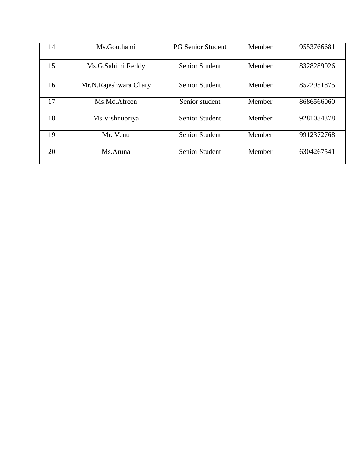| 14 | Ms.Gouthami           | <b>PG Senior Student</b> | Member | 9553766681 |
|----|-----------------------|--------------------------|--------|------------|
| 15 | Ms.G.Sahithi Reddy    | <b>Senior Student</b>    | Member | 8328289026 |
| 16 | Mr.N.Rajeshwara Chary | <b>Senior Student</b>    | Member | 8522951875 |
| 17 | Ms.Md.Afreen          | Senior student           | Member | 8686566060 |
| 18 | Ms. Vishnupriya       | <b>Senior Student</b>    | Member | 9281034378 |
| 19 | Mr. Venu              | <b>Senior Student</b>    | Member | 9912372768 |
| 20 | Ms.Aruna              | <b>Senior Student</b>    | Member | 6304267541 |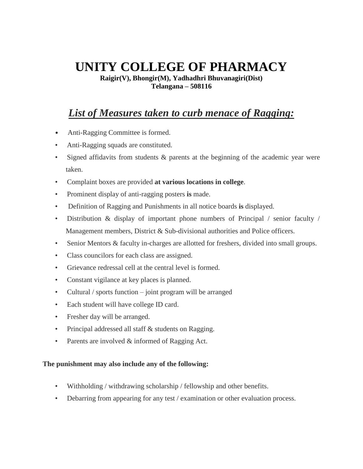# **UNITY COLLEGE OF PHARMACY**

**Raigir(V), Bhongir(M), Yadhadhri Bhuvanagiri(Dist) Telangana – 508116**

## *List of Measures taken to curb menace of Ragging:*

- Anti-Ragging Committee is formed.
- Anti-Ragging squads are constituted.
- Signed affidavits from students & parents at the beginning of the academic year were taken.
- Complaint boxes are provided **at various locations in college**.
- Prominent display of anti-ragging posters **is** made.
- Definition of Ragging and Punishments in all notice boards **is** displayed.
- Distribution & display of important phone numbers of Principal / senior faculty / Management members, District & Sub-divisional authorities and Police officers.
- Senior Mentors & faculty in-charges are allotted for freshers, divided into small groups.
- Class councilors for each class are assigned.
- Grievance redressal cell at the central level is formed.
- Constant vigilance at key places is planned.
- Cultural / sports function joint program will be arranged
- Each student will have college ID card.
- Fresher day will be arranged.
- Principal addressed all staff & students on Ragging.
- Parents are involved & informed of Ragging Act.

#### **The punishment may also include any of the following:**

- Withholding / withdrawing scholarship / fellowship and other benefits.
- Debarring from appearing for any test / examination or other evaluation process.